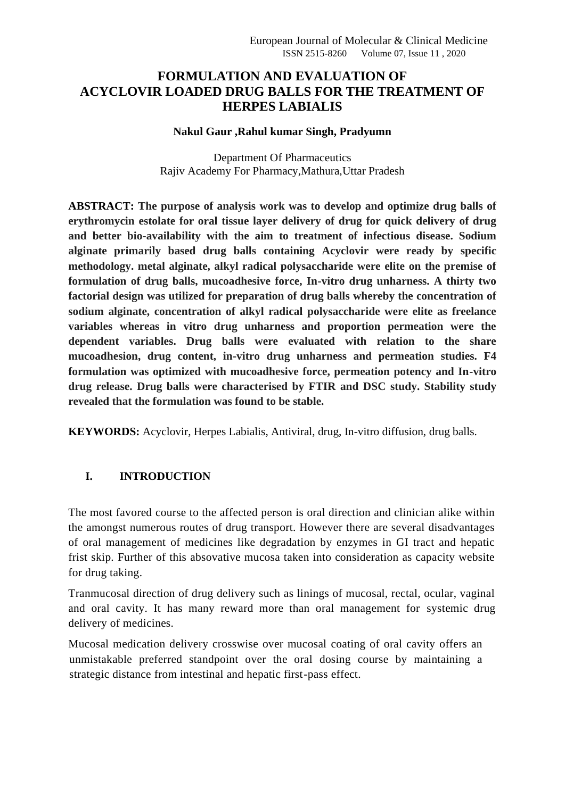# **FORMULATION AND EVALUATION OF ACYCLOVIR LOADED DRUG BALLS FOR THE TREATMENT OF HERPES LABIALIS**

#### **Nakul Gaur ,Rahul kumar Singh, Pradyumn**

Department Of Pharmaceutics Rajiv Academy For Pharmacy,Mathura,Uttar Pradesh

**ABSTRACT: The purpose of analysis work was to develop and optimize drug balls of erythromycin estolate for oral tissue layer delivery of drug for quick delivery of drug and better bio-availability with the aim to treatment of infectious disease. Sodium alginate primarily based drug balls containing Acyclovir were ready by specific methodology. metal alginate, alkyl radical polysaccharide were elite on the premise of formulation of drug balls, mucoadhesive force, In-vitro drug unharness. A thirty two factorial design was utilized for preparation of drug balls whereby the concentration of sodium alginate, concentration of alkyl radical polysaccharide were elite as freelance variables whereas in vitro drug unharness and proportion permeation were the dependent variables. Drug balls were evaluated with relation to the share mucoadhesion, drug content, in-vitro drug unharness and permeation studies. F4 formulation was optimized with mucoadhesive force, permeation potency and In-vitro drug release. Drug balls were characterised by FTIR and DSC study. Stability study revealed that the formulation was found to be stable.**

**KEYWORDS:** Acyclovir, Herpes Labialis, Antiviral, drug, In-vitro diffusion, drug balls.

# **I. INTRODUCTION**

The most favored course to the affected person is oral direction and clinician alike within the amongst numerous routes of drug transport. However there are several disadvantages of oral management of medicines like degradation by enzymes in GI tract and hepatic frist skip. Further of this absovative mucosa taken into consideration as capacity website for drug taking.

Tranmucosal direction of drug delivery such as linings of mucosal, rectal, ocular, vaginal and oral cavity. It has many reward more than oral management for systemic drug delivery of medicines.

Mucosal medication delivery crosswise over mucosal coating of oral cavity offers an unmistakable preferred standpoint over the oral dosing course by maintaining a strategic distance from intestinal and hepatic first-pass effect.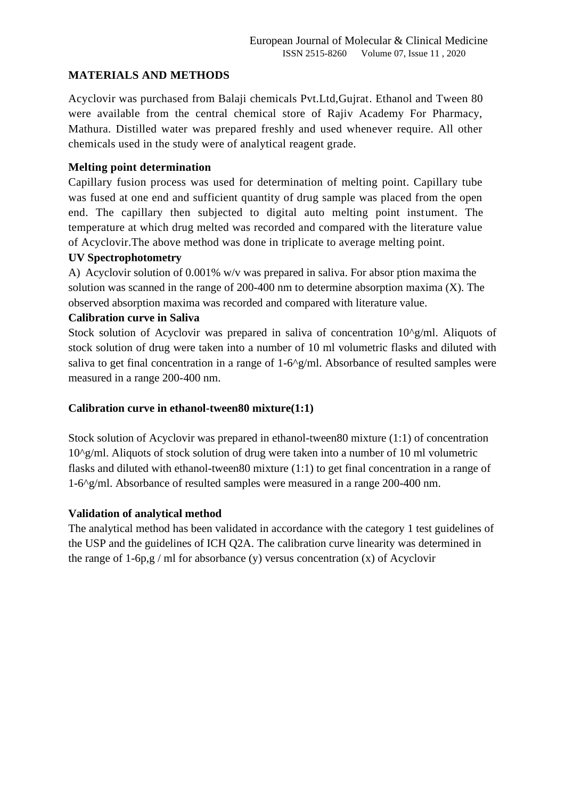### **MATERIALS AND METHODS**

Acyclovir was purchased from Balaji chemicals Pvt.Ltd,Gujrat. Ethanol and Tween 80 were available from the central chemical store of Rajiv Academy For Pharmacy, Mathura. Distilled water was prepared freshly and used whenever require. All other chemicals used in the study were of analytical reagent grade.

### **Melting point determination**

Capillary fusion process was used for determination of melting point. Capillary tube was fused at one end and sufficient quantity of drug sample was placed from the open end. The capillary then subjected to digital auto melting point instument. The temperature at which drug melted was recorded and compared with the literature value of Acyclovir.The above method was done in triplicate to average melting point.

#### **UV Spectrophotometry**

A) Acyclovir solution of 0.001% w/v was prepared in saliva. For absor ption maxima the solution was scanned in the range of 200-400 nm to determine absorption maxima  $(X)$ . The observed absorption maxima was recorded and compared with literature value.

#### **Calibration curve in Saliva**

Stock solution of Acyclovir was prepared in saliva of concentration 10^g/ml. Aliquots of stock solution of drug were taken into a number of 10 ml volumetric flasks and diluted with saliva to get final concentration in a range of 1-6^g/ml. Absorbance of resulted samples were measured in a range 200-400 nm.

#### **Calibration curve in ethanol-tween80 mixture(1:1)**

Stock solution of Acyclovir was prepared in ethanol-tween80 mixture (1:1) of concentration  $10^{\circ}$ g/ml. Aliquots of stock solution of drug were taken into a number of 10 ml volumetric flasks and diluted with ethanol-tween80 mixture (1:1) to get final concentration in a range of 1-6^g/ml. Absorbance of resulted samples were measured in a range 200-400 nm.

### **Validation of analytical method**

The analytical method has been validated in accordance with the category 1 test guidelines of the USP and the guidelines of ICH Q2A. The calibration curve linearity was determined in the range of 1-6p,g / ml for absorbance (y) versus concentration (x) of Acyclovir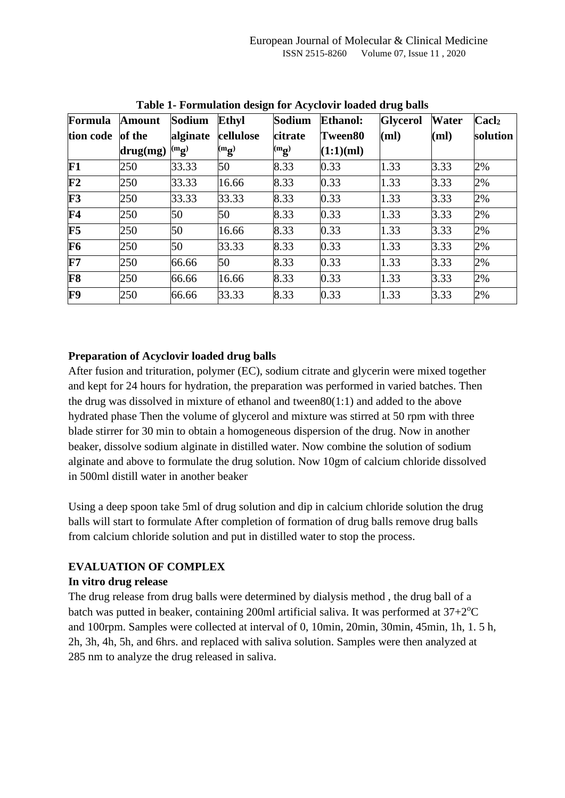| Formula                  | <b>Amount</b>   | Sodium         | <b>Ethyl</b>   | Sodium         | <b>Ethanol:</b> | <b>Glycerol</b> | <b>Water</b> | $\bf {Cacl_2}$ |
|--------------------------|-----------------|----------------|----------------|----------------|-----------------|-----------------|--------------|----------------|
| tion code                | of the          | alginate       | cellulose      | citrate        | Tween80         | (ml)            | (ml)         | solution       |
|                          | $\bf{drug}(mg)$ | $\binom{m}{2}$ | $\binom{m}{2}$ | $\binom{m}{2}$ | (1:1)(ml)       |                 |              |                |
| F1                       | 250             | 33.33          | 50             | 8.33           | 0.33            | 1.33            | 3.33         | 2%             |
| $\overline{\mathbf{F2}}$ | 250             | 33.33          | 16.66          | 8.33           | 0.33            | 1.33            | 3.33         | 2%             |
| F3                       | 250             | 33.33          | 33.33          | 8.33           | 0.33            | 1.33            | 3.33         | 2%             |
| $\mathbf{F4}$            | 250             | 50             | 50             | 8.33           | 0.33            | 1.33            | 3.33         | 2%             |
| $\mathbf{F}5$            | 250             | 50             | 16.66          | 8.33           | 0.33            | 1.33            | 3.33         | 2%             |
| F <sub>6</sub>           | 250             | 50             | 33.33          | 8.33           | 0.33            | 1.33            | 3.33         | 2%             |
| F7                       | 250             | 66.66          | 50             | 8.33           | 0.33            | 1.33            | 3.33         | 2%             |
| F8                       | 250             | 66.66          | 16.66          | 8.33           | 0.33            | 1.33            | 3.33         | 2%             |
| F9                       | 250             | 66.66          | 33.33          | 8.33           | 0.33            | 1.33            | 3.33         | 2%             |

**Table 1- Formulation design for Acyclovir loaded drug balls**

## **Preparation of Acyclovir loaded drug balls**

After fusion and trituration, polymer (EC), sodium citrate and glycerin were mixed together and kept for 24 hours for hydration, the preparation was performed in varied batches. Then the drug was dissolved in mixture of ethanol and tween80(1:1) and added to the above hydrated phase Then the volume of glycerol and mixture was stirred at 50 rpm with three blade stirrer for 30 min to obtain a homogeneous dispersion of the drug. Now in another beaker, dissolve sodium alginate in distilled water. Now combine the solution of sodium alginate and above to formulate the drug solution. Now 10gm of calcium chloride dissolved in 500ml distill water in another beaker

Using a deep spoon take 5ml of drug solution and dip in calcium chloride solution the drug balls will start to formulate After completion of formation of drug balls remove drug balls from calcium chloride solution and put in distilled water to stop the process.

# **EVALUATION OF COMPLEX**

### **In vitro drug release**

The drug release from drug balls were determined by dialysis method , the drug ball of a batch was putted in beaker, containing 200ml artificial saliva. It was performed at  $37+2$ <sup>o</sup>C and 100rpm. Samples were collected at interval of 0, 10min, 20min, 30min, 45min, 1h, 1. 5 h, 2h, 3h, 4h, 5h, and 6hrs. and replaced with saliva solution. Samples were then analyzed at 285 nm to analyze the drug released in saliva.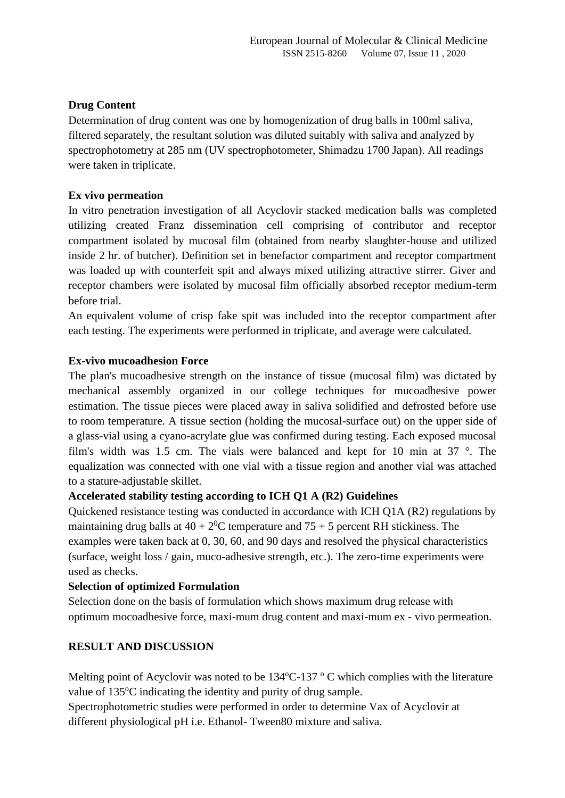## **Drug Content**

Determination of drug content was one by homogenization of drug balls in 100ml saliva, filtered separately, the resultant solution was diluted suitably with saliva and analyzed by spectrophotometry at 285 nm (UV spectrophotometer, Shimadzu 1700 Japan). All readings were taken in triplicate.

### **Ex vivo permeation**

In vitro penetration investigation of all Acyclovir stacked medication balls was completed utilizing created Franz dissemination cell comprising of contributor and receptor compartment isolated by mucosal film (obtained from nearby slaughter-house and utilized inside 2 hr. of butcher). Definition set in benefactor compartment and receptor compartment was loaded up with counterfeit spit and always mixed utilizing attractive stirrer. Giver and receptor chambers were isolated by mucosal film officially absorbed receptor medium-term before trial.

An equivalent volume of crisp fake spit was included into the receptor compartment after each testing. The experiments were performed in triplicate, and average were calculated.

## **Ex-vivo mucoadhesion Force**

The plan's mucoadhesive strength on the instance of tissue (mucosal film) was dictated by mechanical assembly organized in our college techniques for mucoadhesive power estimation. The tissue pieces were placed away in saliva solidified and defrosted before use to room temperature. A tissue section (holding the mucosal-surface out) on the upper side of a glass-vial using a cyano-acrylate glue was confirmed during testing. Each exposed mucosal film's width was 1.5 cm. The vials were balanced and kept for 10 min at 37 °. The equalization was connected with one vial with a tissue region and another vial was attached to a stature-adjustable skillet.

### **Accelerated stability testing according to ICH Q1 A (R2) Guidelines**

Quickened resistance testing was conducted in accordance with ICH Q1A (R2) regulations by maintaining drug balls at  $40 + 2^{0}C$  temperature and  $75 + 5$  percent RH stickiness. The examples were taken back at 0, 30, 60, and 90 days and resolved the physical characteristics (surface, weight loss / gain, muco-adhesive strength, etc.). The zero-time experiments were used as checks.

### **Selection of optimized Formulation**

Selection done on the basis of formulation which shows maximum drug release with optimum mocoadhesive force, maxi-mum drug content and maxi-mum ex - vivo permeation.

# **RESULT AND DISCUSSION**

Melting point of Acyclovir was noted to be  $134^{\circ}$ C-137  $^{\circ}$  C which complies with the literature value of 135°C indicating the identity and purity of drug sample.

Spectrophotometric studies were performed in order to determine Vax of Acyclovir at different physiological pH i.e. Ethanol- Tween80 mixture and saliva.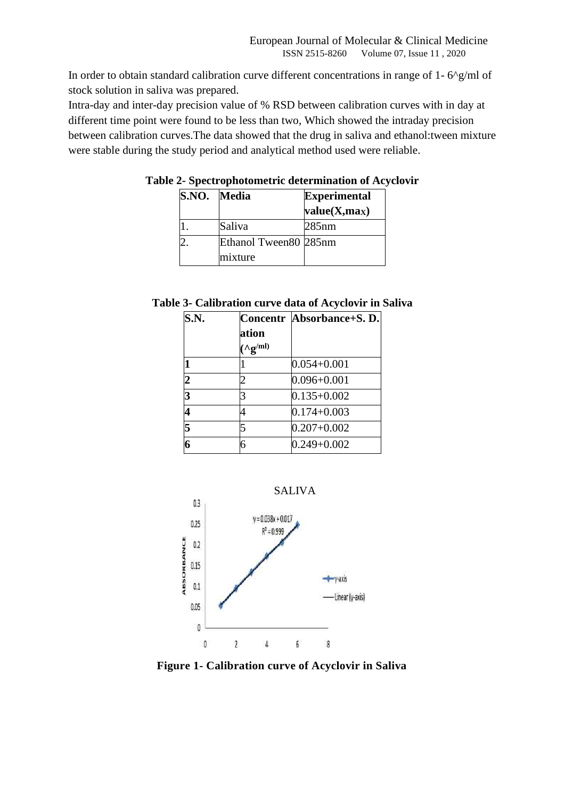In order to obtain standard calibration curve different concentrations in range of 1- 6^g/ml of stock solution in saliva was prepared.

Intra-day and inter-day precision value of % RSD between calibration curves with in day at different time point were found to be less than two, Which showed the intraday precision between calibration curves.The data showed that the drug in saliva and ethanol:tween mixture were stable during the study period and analytical method used were reliable.

| S.NO. Media |                                  | <b>Experimental</b><br>value(X, max) |
|-------------|----------------------------------|--------------------------------------|
|             | Saliva                           | $285$ nm                             |
|             | Ethanol Tween80 285nm<br>mixture |                                      |

**Table 2- Spectrophotometric determination of Acyclovir**

|  |  |  | Table 3- Calibration curve data of Acyclovir in Saliva |  |
|--|--|--|--------------------------------------------------------|--|
|--|--|--|--------------------------------------------------------|--|

| <b>S.N.</b>    |                              | Concentr Absorbance+S. D. |
|----------------|------------------------------|---------------------------|
|                | ation                        |                           |
|                | $({\wedge \bf g}^{\rm (ml)}$ |                           |
|                |                              | $0.054 + 0.001$           |
| $\overline{2}$ |                              | $0.096 + 0.001$           |
| 3              | 3                            | $0.135 + 0.002$           |
|                |                              | $0.174 + 0.003$           |
| $\overline{5}$ | 5                            | $0.207 + 0.002$           |
| 6              | 6                            | $0.249 + 0.002$           |



**Figure 1- Calibration curve of Acyclovir in Saliva**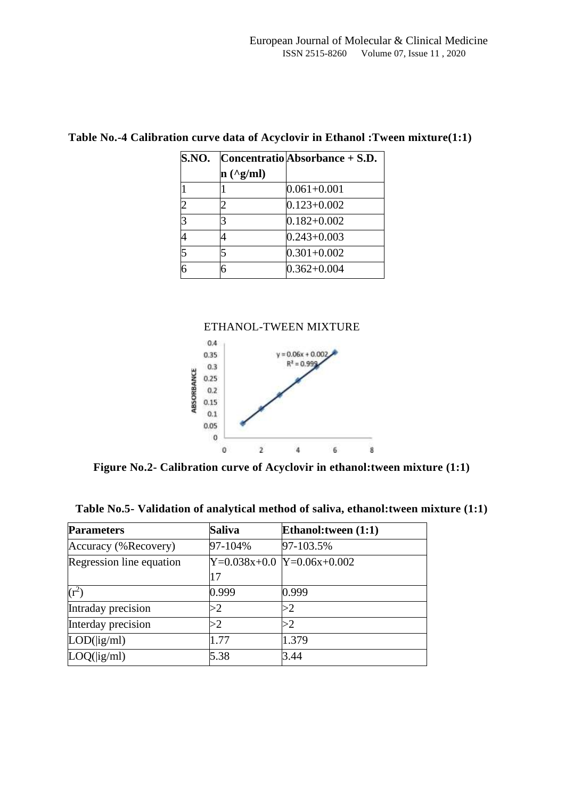| S.NO.          |               | $\sim$ Concentratio Absorbance + S.D. |
|----------------|---------------|---------------------------------------|
|                | $n(^{2}g/ml)$ |                                       |
| l1             |               | $0.061 + 0.001$                       |
| $\overline{2}$ |               | $0.123 + 0.002$                       |
| $\overline{3}$ |               | $0.182 + 0.002$                       |
| 4              |               | $0.243 + 0.003$                       |
| $\overline{5}$ |               | $0.301 + 0.002$                       |
| $\overline{6}$ | 6             | $0.362 + 0.004$                       |

# **Table No.-4 Calibration curve data of Acyclovir in Ethanol :Tween mixture(1:1)**



**Figure No.2- Calibration curve of Acyclovir in ethanol:tween mixture (1:1)**

| Table No.5- Validation of analytical method of saliva, ethanol:tween mixture (1:1) |  |  |  |
|------------------------------------------------------------------------------------|--|--|--|
|                                                                                    |  |  |  |

| <b>Parameters</b>        | <b>Saliva</b> | Ethanol: tween (1:1)         |
|--------------------------|---------------|------------------------------|
| Accuracy (%Recovery)     | 97-104%       | 97-103.5%                    |
| Regression line equation |               | $Y=0.038x+0.0$ Y=0.06x+0.002 |
|                          | 17            |                              |
| $(r^2)$                  | 0.999         | 0.999                        |
| Intraday precision       | >2            | >2                           |
| Interday precision       | >2            | >2                           |
| LOD(ig/ml)               | 1.77          | 1.379                        |
| LOQ(ig/ml)               | 5.38          | 3.44                         |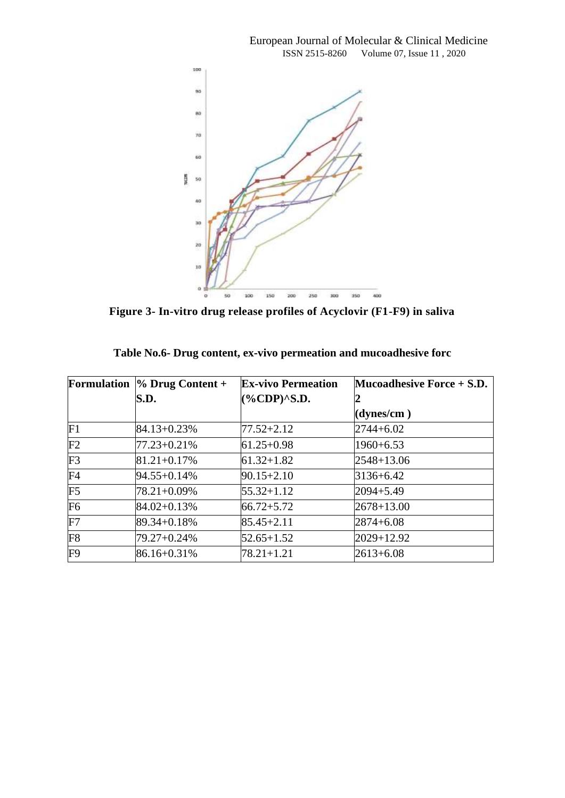

**Figure 3- In-vitro drug release profiles of Acyclovir (F1-F9) in saliva**

|    | Formulation $\%$ Drug Content + | <b>Ex-vivo Permeation</b> | Mucoadhesive Force $+$ S.D. |
|----|---------------------------------|---------------------------|-----------------------------|
|    | S.D.                            | $(\%CDP)^{A}S.D.$         |                             |
|    |                                 |                           | (dynes/cm)                  |
| F1 | 84.13+0.23%                     | $77.52 + 2.12$            | $2744 + 6.02$               |
| F2 | 77.23+0.21%                     | $61.25 + 0.98$            | $1960 + 6.53$               |
| F3 | 81.21+0.17%                     | $61.32 + 1.82$            | $2548 + 13.06$              |
| F4 | 94.55+0.14%                     | $90.15 + 2.10$            | $3136 + 6.42$               |
| F5 | 78.21+0.09%                     | $55.32 + 1.12$            | $2094 + 5.49$               |
| F6 | 84.02+0.13%                     | $66.72 + 5.72$            | $2678 + 13.00$              |
| F7 | 89.34+0.18%                     | $85.45 + 2.11$            | $2874 + 6.08$               |
| F8 | 79.27+0.24%                     | $52.65 + 1.52$            | 2029+12.92                  |
| F9 | 86.16+0.31%                     | $78.21 + 1.21$            | $2613 + 6.08$               |

| Table No.6- Drug content, ex-vivo permeation and mucoadhesive forc |  |  |  |
|--------------------------------------------------------------------|--|--|--|
|                                                                    |  |  |  |